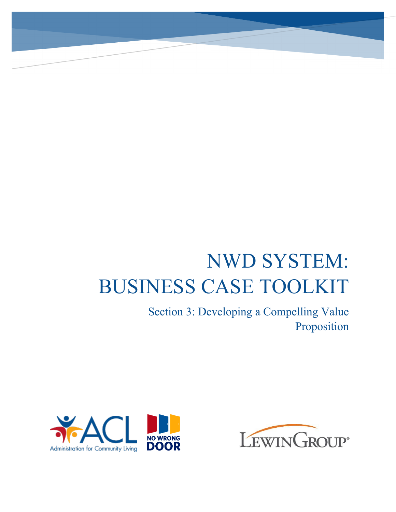# NWD SYSTEM: BUSINESS CASE TOOLKIT

Section 3: Developing a Compelling Value Proposition



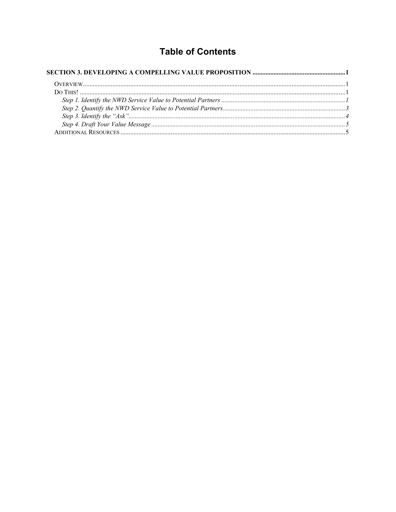# **Table of Contents**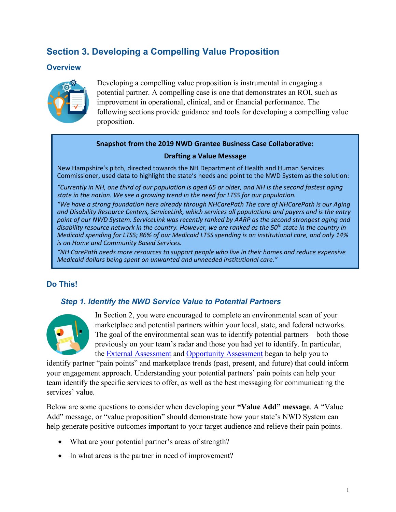## <span id="page-2-0"></span>**Section 3. Developing a Compelling Value Proposition**

## <span id="page-2-1"></span>**Overview**



Developing a compelling value proposition is instrumental in engaging a potential partner. A compelling case is one that demonstrates an ROI, such as improvement in operational, clinical, and or financial performance. The following sections provide guidance and tools for developing a compelling value proposition.

### **Snapshot from the 2019 NWD Grantee Business Case Collaborative:**

### **Drafting a Value Message**

New Hampshire's pitch, directed towards the NH Department of Health and Human Services Commissioner, used data to highlight the state's needs and point to the NWD System as the solution:

*"Currently in NH, one third of our population is aged 65 or older, and NH is the second fastest aging state in the nation. We see a growing trend in the need for LTSS for our population.* 

*"We have a strong foundation here already through NHCarePath The core of NHCarePath is our Aging and Disability Resource Centers, ServiceLink, which services all populations and payers and is the entry point of our NWD System. ServiceLink was recently ranked by AARP as the second strongest aging and disability resource network in the country. However, we are ranked as the 50th state in the country in Medicaid spending for LTSS; 86% of our Medicaid LTSS spending is on institutional care, and only 14% is on Home and Community Based Services.* 

*"NH CarePath needs more resources to support people who live in their homes and reduce expensive Medicaid dollars being spent on unwanted and unneeded institutional care."*

## <span id="page-2-2"></span>**Do This!**

## <span id="page-2-3"></span>*Step 1. Identify the NWD Service Value to Potential Partners*



In Section 2, you were encouraged to complete an environmental scan of your marketplace and potential partners within your local, state, and federal networks. The goal of the environmental scan was to identify potential partners – both those previously on your team's radar and those you had yet to identify. In particular, the **External Assessment and Opportunity Assessment** began to help you to

identify partner "pain points" and marketplace trends (past, present, and future) that could inform your engagement approach. Understanding your potential partners' pain points can help your team identify the specific services to offer, as well as the best messaging for communicating the services' value.

Below are some questions to consider when developing your **"Value Add" message**. A "Value Add" message, or "value proposition" should demonstrate how your state's NWD System can help generate positive outcomes important to your target audience and relieve their pain points.

- What are your potential partner's areas of strength?
- In what areas is the partner in need of improvement?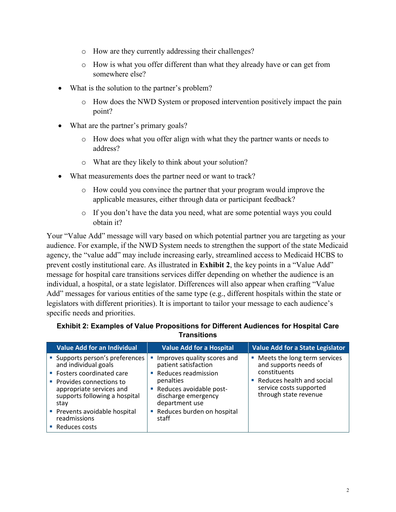- o How are they currently addressing their challenges?
- o How is what you offer different than what they already have or can get from somewhere else?
- What is the solution to the partner's problem?
	- o How does the NWD System or proposed intervention positively impact the pain point?
- What are the partner's primary goals?
	- o How does what you offer align with what they the partner wants or needs to address?
	- o What are they likely to think about your solution?
- What measurements does the partner need or want to track?
	- o How could you convince the partner that your program would improve the applicable measures, either through data or participant feedback?
	- o If you don't have the data you need, what are some potential ways you could obtain it?

Your "Value Add" message will vary based on which potential partner you are targeting as your audience. For example, if the NWD System needs to strengthen the support of the state Medicaid agency, the "value add" may include increasing early, streamlined access to Medicaid HCBS to prevent costly institutional care. As illustrated in **Exhibit 2**, the key points in a "Value Add" message for hospital care transitions services differ depending on whether the audience is an individual, a hospital, or a state legislator. Differences will also appear when crafting "Value Add" messages for various entities of the same type (e.g., different hospitals within the state or legislators with different priorities). It is important to tailor your message to each audience's specific needs and priorities.

| <b>Value Add for an Individual</b>                                                                                                                                                                                                                        | <b>Value Add for a Hospital</b>                                                                                                                                                                    | <b>Value Add for a State Legislator</b>                                                                                                                |
|-----------------------------------------------------------------------------------------------------------------------------------------------------------------------------------------------------------------------------------------------------------|----------------------------------------------------------------------------------------------------------------------------------------------------------------------------------------------------|--------------------------------------------------------------------------------------------------------------------------------------------------------|
| • Supports person's preferences<br>and individual goals<br>■ Fosters coordinated care<br>■ Provides connections to<br>appropriate services and<br>supports following a hospital<br>stav<br>Prevents avoidable hospital<br>readmissions<br>■ Reduces costs | Improves quality scores and<br>patient satisfaction<br>Reduces readmission<br>penalties<br>Reduces avoidable post-<br>discharge emergency<br>department use<br>Reduces burden on hospital<br>staff | Meets the long term services<br>and supports needs of<br>constituents<br>Reduces health and social<br>service costs supported<br>through state revenue |

#### **Exhibit 2: Examples of Value Propositions for Different Audiences for Hospital Care Transitions**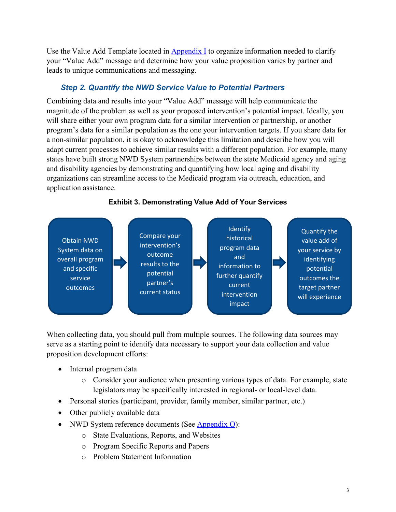Use the Value Add Template located in  $\Delta$ ppendix I to organize information needed to clarify your "Value Add" message and determine how your value proposition varies by partner and leads to unique communications and messaging.

## *Step 2. Quantify the NWD Service Value to Potential Partners*

<span id="page-4-0"></span>Combining data and results into your "Value Add" message will help communicate the magnitude of the problem as well as your proposed intervention's potential impact. Ideally, you will share either your own program data for a similar intervention or partnership, or another program's data for a similar population as the one your intervention targets. If you share data for a non-similar population, it is okay to acknowledge this limitation and describe how you will adapt current processes to achieve similar results with a different population. For example, many states have built strong NWD System partnerships between the state Medicaid agency and aging and disability agencies by demonstrating and quantifying how local aging and disability organizations can streamline access to the Medicaid program via outreach, education, and application assistance.



**Exhibit 3. Demonstrating Value Add of Your Services**

When collecting data, you should pull from multiple sources. The following data sources may serve as a starting point to identify data necessary to support your data collection and value proposition development efforts:

- Internal program data
	- o Consider your audience when presenting various types of data. For example, state legislators may be specifically interested in regional- or local-level data.
- Personal stories (participant, provider, family member, similar partner, etc.)
- Other publicly available data
- NWD System reference documents (See Appendix Q):
	- o State Evaluations, Reports, and Websites
	- o Program Specific Reports and Papers
	- o Problem Statement Information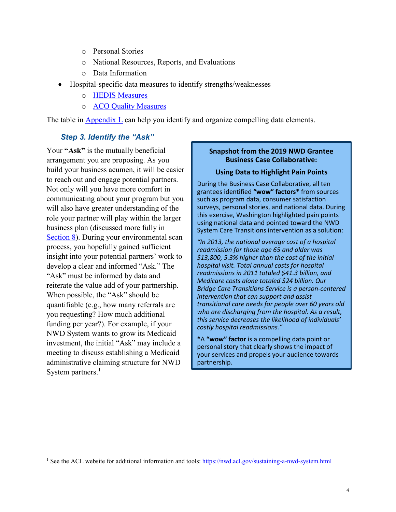- o Personal Stories
- o National Resources, Reports, and Evaluations
- o Data Information
- · Hospital-specific data measures to identify strengths/weaknesses
	- o [HEDIS Measures](https://www.ncqa.org/hedis/)
	- o [ACO Quality Measures](http://healthmonix.com/aco-quality-measures/)

The table in  $\Delta$ ppendix  $\overline{L}$  can help you identify and organize compelling data elements.

## <span id="page-5-0"></span>*Step 3. Identify the "Ask"*

Your "Ask" is the mutually beneficial arrangement you are proposing. As you build your business acumen, it will be easier to reach out and engage potential partners. Not only will you have more comfort in communicating about your program but you will also have greater understanding of the role your partner will play within the larger business plan (discussed more fully in Section 8). During your environmental scan process, you hopefully gained sufficient insight into your potential partners' work to develop a clear and informed "Ask." The "Ask" must be informed by data and reiterate the value add of your partnership. When possible, the "Ask" should be quantifiable (e.g., how many referrals are you requesting? How much additional funding per year?). For example, if your NWD System wants to grow its Medicaid investment, the initial "Ask" may include a meeting to discuss establishing a Medicaid administrative claiming structure for NWD System partners. $<sup>1</sup>$  $<sup>1</sup>$  $<sup>1</sup>$ </sup>

 $\overline{a}$ 

### **Snapshot from the 2019 NWD Grantee Business Case Collaborative:**

#### **Using Data to Highlight Pain Points**

During the Business Case Collaborative, all ten grantees identified **"wow" factors\*** from sources such as program data, consumer satisfaction surveys, personal stories, and national data. During this exercise, Washington highlighted pain points using national data and pointed toward the NWD System Care Transitions intervention as a solution:

*"In 2013, the national average cost of a hospital readmission for those age 65 and older was \$13,800, 5.3% higher than the cost of the initial hospital visit. Total annual costs for hospital readmissions in 2011 totaled \$41.3 billion, and Medicare costs alone totaled \$24 billion. Our Bridge Care Transitions Service is a person-centered intervention that can support and assist transitional care needs for people over 60 years old who are discharging from the hospital. As a result, this service decreases the likelihood of individuals' costly hospital readmissions."*

**\***A **"wow" factor** is a compelling data point or personal story that clearly shows the impact of your services and propels your audience towards partnership.

<span id="page-5-1"></span><sup>&</sup>lt;sup>1</sup> See the ACL website for additional information and tools:<https://nwd.acl.gov/sustaining-a-nwd-system.html>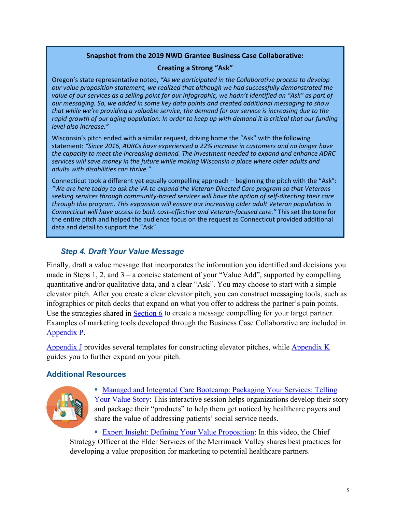## **Snapshot from the 2019 NWD Grantee Business Case Collaborative:**

#### **Creating a Strong "Ask"**

Oregon's state representative noted, *"As we participated in the Collaborative process to develop our value proposition statement, we realized that although we had successfully demonstrated the*  value of our services as a selling point for our infographic, we hadn't identified an "Ask" as part of *our messaging. So, we added in some key data points and created additional messaging to show that while we're providing a valuable service, the demand for our service is increasing due to the rapid growth of our aging population. In order to keep up with demand it is critical that our funding level also increase."*

Wisconsin's pitch ended with a similar request, driving home the "Ask" with the following statement: *"Since 2016, ADRCs have experienced a 22% increase in customers and no longer have the capacity to meet the increasing demand. The investment needed to expand and enhance ADRC services will save money in the future while making Wisconsin a place where older adults and adults with disabilities can thrive."* 

Connecticut took a different yet equally compelling approach – beginning the pitch with the "Ask": *"We are here today to ask the VA to expand the Veteran Directed Care program so that Veterans seeking services through community-based services will have the option of self-directing their care through this program. This expansion will ensure our increasing older adult Veteran population in Connecticut will have access to both cost-effective and Veteran-focused care."* This set the tone for the entire pitch and helped the audience focus on the request as Connecticut provided additional data and detail to support the "Ask".

## *Step 4. Draft Your Value Message*

<span id="page-6-0"></span>Finally, draft a value message that incorporates the information you identified and decisions you made in Steps 1, 2, and 3 – a concise statement of your "Value Add", supported by compelling quantitative and/or qualitative data, and a clear "Ask". You may choose to start with a simple elevator pitch. After you create a clear elevator pitch, you can construct messaging tools, such as infographics or pitch decks that expand on what you offer to address the partner's pain points. Use the strategies shared in Section 6 to create a message compelling for your target partner. Examples of marketing tools developed through the Business Case Collaborative are included in Appendix P.

Appendix J provides several templates for constructing elevator pitches, while Appendix K guides you to further expand on your pitch.

## <span id="page-6-1"></span>**Additional Resources**



§ [Managed and Integrated Care Bootcamp: Packaging Your Services: Telling](https://www.aginganddisabilitybusinessinstitute.org/resources/managed-integrated-care-bootcamp-packaging-services-telling-value-story/)  [Your Value Story](https://www.aginganddisabilitybusinessinstitute.org/resources/managed-integrated-care-bootcamp-packaging-services-telling-value-story/): This interactive session helps organizations develop their story and package their "products" to help them get noticed by healthcare payers and share the value of addressing patients' social service needs.

■ [Expert Insight: Defining Your Value Proposition](https://www.aginganddisabilitybusinessinstitute.org/resources/expert-insight-defining-value-proposition/): In this video, the Chief Strategy Officer at the Elder Services of the Merrimack Valley shares best practices for developing a value proposition for marketing to potential healthcare partners.